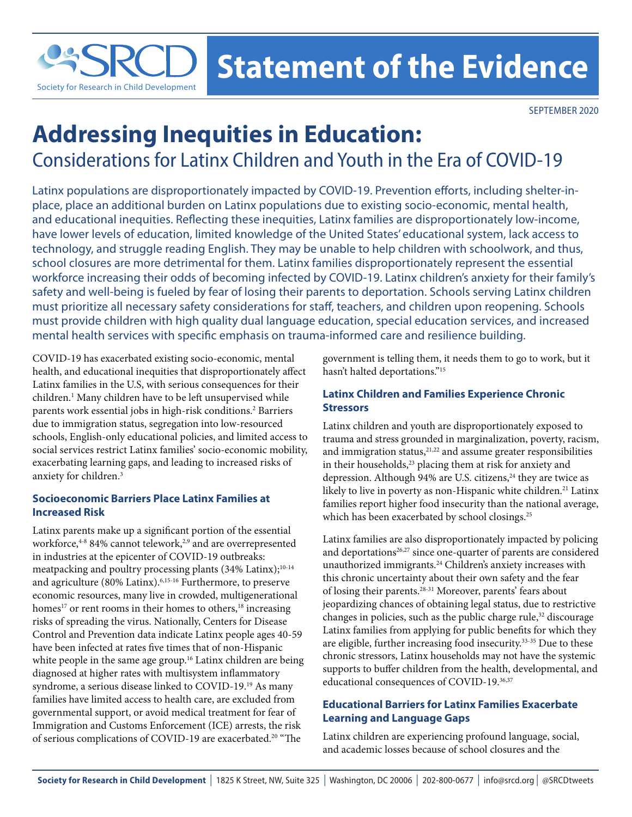

# **Addressing Inequities in Education:** Considerations for Latinx Children and Youth in the Era of COVID-19

Latinx populations are disproportionately impacted by COVID-19. Prevention efforts, including shelter-inplace, place an additional burden on Latinx populations due to existing socio-economic, mental health, and educational inequities. Reflecting these inequities, Latinx families are disproportionately low-income, have lower levels of education, limited knowledge of the United States' educational system, lack access to technology, and struggle reading English. They may be unable to help children with schoolwork, and thus, school closures are more detrimental for them. Latinx families disproportionately represent the essential workforce increasing their odds of becoming infected by COVID-19. Latinx children's anxiety for their family's safety and well-being is fueled by fear of losing their parents to deportation. Schools serving Latinx children must prioritize all necessary safety considerations for staff, teachers, and children upon reopening. Schools must provide children with high quality dual language education, special education services, and increased mental health services with specific emphasis on trauma-informed care and resilience building.

COVID-19 has exacerbated existing socio-economic, mental health, and educational inequities that disproportionately affect Latinx families in the U.S, with serious consequences for their children.<sup>1</sup> Many children have to be left unsupervised while parents work essential jobs in high-risk conditions.<sup>2</sup> Barriers due to immigration status, segregation into low-resourced schools, English-only educational policies, and limited access to social services restrict Latinx families' socio-economic mobility, exacerbating learning gaps, and leading to increased risks of anxiety for children.3

## **Socioeconomic Barriers Place Latinx Families at Increased Risk**

Latinx parents make up a significant portion of the essential workforce,<sup>4-8</sup> 84% cannot telework,<sup>2,9</sup> and are overrepresented in industries at the epicenter of COVID-19 outbreaks: meatpacking and poultry processing plants  $(34\% \text{ Latinx})$ ;<sup>10-14</sup> and agriculture (80% Latinx).6,15-16 Furthermore, to preserve economic resources, many live in crowded, multigenerational homes<sup>17</sup> or rent rooms in their homes to others,<sup>18</sup> increasing risks of spreading the virus. Nationally, Centers for Disease Control and Prevention data indicate Latinx people ages 40-59 have been infected at rates five times that of non-Hispanic white people in the same age group.<sup>16</sup> Latinx children are being diagnosed at higher rates with multisystem inflammatory syndrome, a serious disease linked to COVID-19.19 As many families have limited access to health care, are excluded from governmental support, or avoid medical treatment for fear of Immigration and Customs Enforcement (ICE) arrests, the risk of serious complications of COVID-19 are exacerbated.20 "The

government is telling them, it needs them to go to work, but it hasn't halted deportations."15

# **Latinx Children and Families Experience Chronic Stressors**

Latinx children and youth are disproportionately exposed to trauma and stress grounded in marginalization, poverty, racism, and immigration status,<sup>21,22</sup> and assume greater responsibilities in their households,<sup>23</sup> placing them at risk for anxiety and depression. Although 94% are U.S. citizens,<sup>24</sup> they are twice as likely to live in poverty as non-Hispanic white children.<sup>21</sup> Latinx families report higher food insecurity than the national average, which has been exacerbated by school closings.<sup>25</sup>

Latinx families are also disproportionately impacted by policing and deportations<sup>26,27</sup> since one-quarter of parents are considered unauthorized immigrants.<sup>24</sup> Children's anxiety increases with this chronic uncertainty about their own safety and the fear of losing their parents.28-31 Moreover, parents' fears about jeopardizing chances of obtaining legal status, due to restrictive changes in policies, such as the public charge rule,<sup>32</sup> discourage Latinx families from applying for public benefits for which they are eligible, further increasing food insecurity.33-35 Due to these chronic stressors, Latinx households may not have the systemic supports to buffer children from the health, developmental, and educational consequences of COVID-19.<sup>36,37</sup>

# **Educational Barriers for Latinx Families Exacerbate Learning and Language Gaps**

Latinx children are experiencing profound language, social, and academic losses because of school closures and the